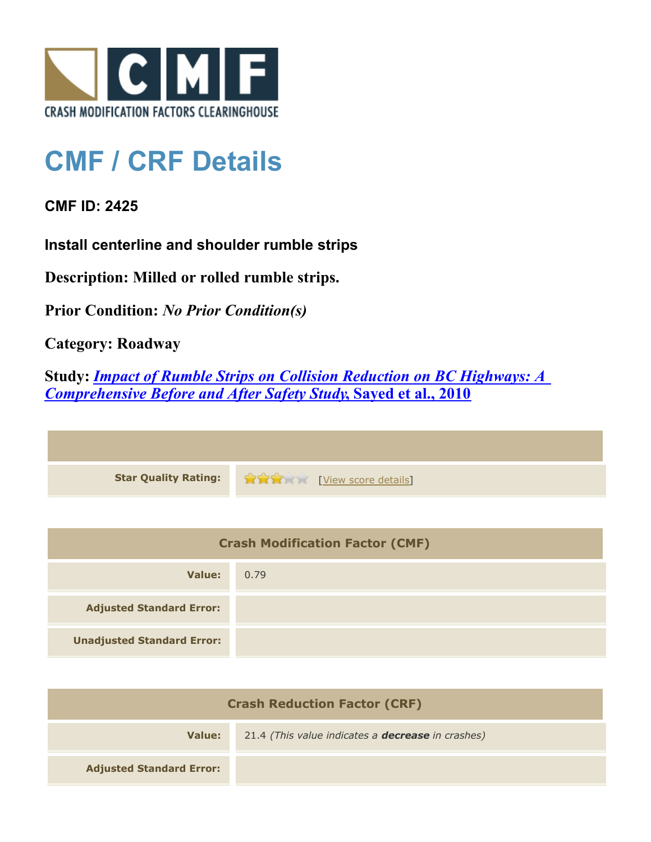

## **CMF / CRF Details**

**CMF ID: 2425**

**Install centerline and shoulder rumble strips**

**Description: Milled or rolled rumble strips.**

**Prior Condition:** *No Prior Condition(s)*

**Category: Roadway**

**Study:** *[Impact of Rumble Strips on Collision Reduction on BC Highways: A](http://www.cmfclearinghouse.org/study_detail.cfm?stid=152) [Comprehensive Before and After Safety Study](http://www.cmfclearinghouse.org/study_detail.cfm?stid=152)***[, Sayed et al., 2010](http://www.cmfclearinghouse.org/study_detail.cfm?stid=152)**

| Star Quality Rating: 1999 [View score details] |
|------------------------------------------------|

| <b>Crash Modification Factor (CMF)</b> |      |
|----------------------------------------|------|
| Value:                                 | 0.79 |
| <b>Adjusted Standard Error:</b>        |      |
| <b>Unadjusted Standard Error:</b>      |      |

| <b>Crash Reduction Factor (CRF)</b> |                                                          |
|-------------------------------------|----------------------------------------------------------|
| Value:                              | 21.4 (This value indicates a <b>decrease</b> in crashes) |
| <b>Adjusted Standard Error:</b>     |                                                          |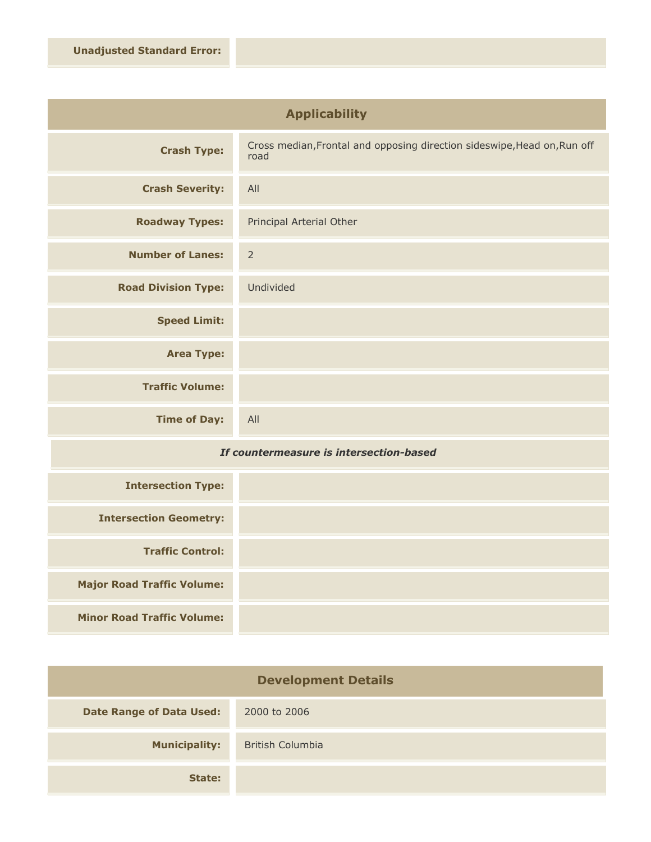| <b>Applicability</b>       |                                                                                  |
|----------------------------|----------------------------------------------------------------------------------|
| <b>Crash Type:</b>         | Cross median, Frontal and opposing direction sideswipe, Head on, Run off<br>road |
| <b>Crash Severity:</b>     | All                                                                              |
| <b>Roadway Types:</b>      | Principal Arterial Other                                                         |
| <b>Number of Lanes:</b>    | $\overline{2}$                                                                   |
| <b>Road Division Type:</b> | Undivided                                                                        |
| <b>Speed Limit:</b>        |                                                                                  |
| <b>Area Type:</b>          |                                                                                  |
| <b>Traffic Volume:</b>     |                                                                                  |
| <b>Time of Day:</b>        | All                                                                              |

## *If countermeasure is intersection-based*

| <b>Intersection Type:</b>         |  |
|-----------------------------------|--|
| <b>Intersection Geometry:</b>     |  |
| <b>Traffic Control:</b>           |  |
| <b>Major Road Traffic Volume:</b> |  |
| <b>Minor Road Traffic Volume:</b> |  |

| <b>Development Details</b>      |                         |
|---------------------------------|-------------------------|
| <b>Date Range of Data Used:</b> | 2000 to 2006            |
| <b>Municipality:</b>            | <b>British Columbia</b> |
| State:                          |                         |